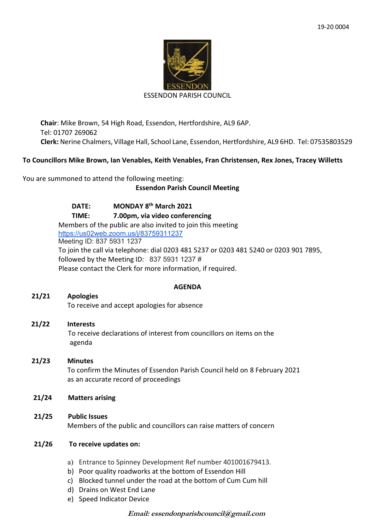

#### ESSENDON PARISH COUNCIL

**Chair**: Mike Brown, 54 High Road, Essendon, Hertfordshire, AL9 6AP. Tel: 01707 269062 **Clerk:** Nerine Chalmers, Village Hall, School Lane, Essendon, Hertfordshire, AL9 6HD. Tel: 07535803529

## **To Councillors Mike Brown, Ian Venables, Keith Venables, Fran Christensen, Rex Jones, Tracey Willetts**

You are summoned to attend the following meeting:

## **Essendon Parish Council Meeting**

**DATE: MONDAY 8th March 2021 TIME: 7.00pm, via video conferencing** Members of the public are also invited to join this meeting <https://us02web.zoom.us/j/83759311237> Meeting ID: 837 5931 1237 To join the call via telephone: dial 0203 481 5237 or 0203 481 5240 or 0203 901 7895, followed by the Meeting ID: 837 5931 1237 # Please contact the Clerk for more information, if required.

## **AGENDA**

# **21/21 Apologies**

To receive and accept apologies for absence

## **21/22 Interests**

To receive declarations of interest from councillors on items on the agenda

## **21/23 Minutes**

 To confirm the Minutes of Essendon Parish Council held on 8 February 2021 as an accurate record of proceedings

## **21/24 Matters arising**

## **21/25 Public Issues**

Members of the public and councillors can raise matters of concern

## **21/26 To receive updates on:**

- a) Entrance to Spinney Development Ref number 401001679413.
- b) Poor quality roadworks at the bottom of Essendon Hill
- c) Blocked tunnel under the road at the bottom of Cum Cum hill
- d) Drains on West End Lane
- e) Speed Indicator Device

## **Email: essendonparishcouncil@gmail.com**